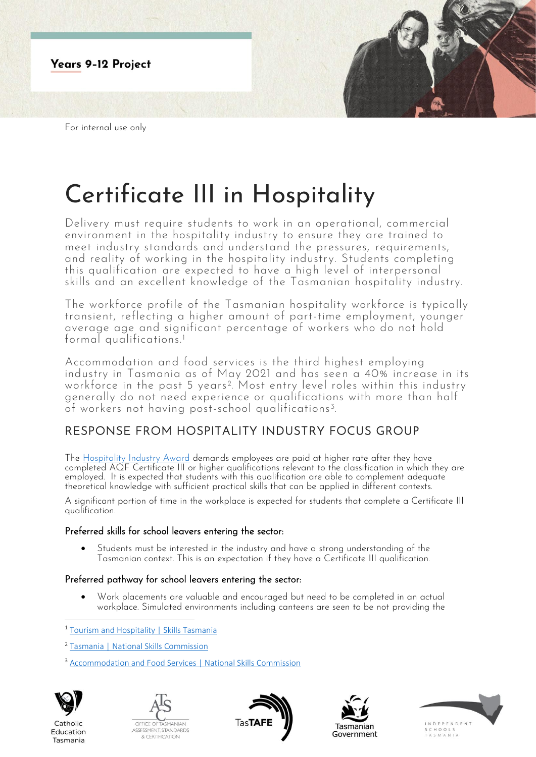

For internal use only

# Certificate III in Hospitality

Delivery must require students to work in an operational, commercial environment in the hospitality industry to ensure they are trained to meet industry standards and understand the pressures, requirements, and reality of working in the hospitality industry. Students completing this qualification are expected to have a high level of interpersonal skills and an excellent knowledge of the Tasmanian hospitality industry.

The workforce profile of the Tasmanian hospitality workforce is typically transient, reflecting a higher amount of part-time employment, younger average age and significant percentage of workers who do not hold formal qualifications.<sup>1</sup>

Accommodation and food services is the third highest employing industry in Tasmania as of May 2021 and has seen a 40% increase in its workforce in the past 5 years<sup>2</sup>. Most entry level roles within this industry generally do not need experience or qualifications with more than half of workers not having post-school qualifications<sup>3</sup>. .

## RESPONSE FROM HOSPITALITY INDUSTRY FOCUS GROUP

The [Hospitality Industry Award](https://awardviewer.fwo.gov.au/award/show/MA000009) demands employees are paid at higher rate after they have completed AQF Certificate III or higher qualifications relevant to the classification in which they are employed. It is expected that students with this qualification are able to complement adequate theoretical knowledge with sufficient practical skills that can be applied in different contexts.

A significant portion of time in the workplace is expected for students that complete a Certificate III qualification.

### Preferred skills for school leavers entering the sector:

• Students must be interested in the industry and have a strong understanding of the Tasmanian context. This is an expectation if they have a Certificate III qualification.

### Preferred pathway for school leavers entering the sector:

• Work placements are valuable and encouraged but need to be completed in an actual workplace. Simulated environments including canteens are seen to be not providing the

<sup>1</sup> [Tourism and Hospitality | Skills Tasmania](https://www.skills.tas.gov.au/about/the_tasmanian_workforce/industry_information_and_profiles/tourism_and_hospitality_fact_sheet)

<sup>&</sup>lt;sup>3</sup> [Accommodation and Food Services | National Skills Commission](https://www.nationalskillscommission.gov.au/accommodation-and-food-services-0)



Catholic

Education

Tasmania









<sup>2</sup> [Tasmania | National Skills Commission](https://www.nationalskillscommission.gov.au/tasmania-0)